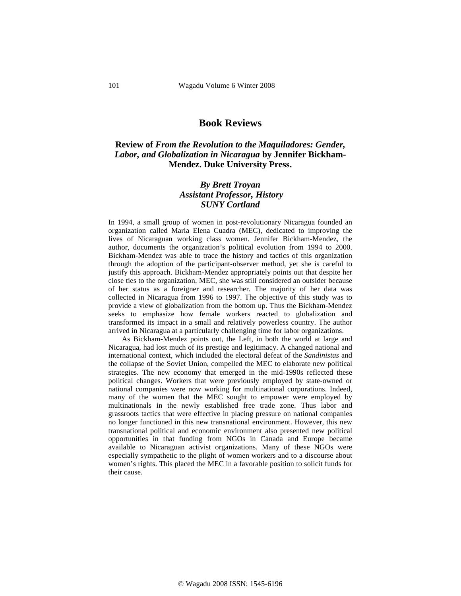## **Book Reviews**

## **Review of** *From the Revolution to the Maquiladores: Gender, Labor, and Globalization in Nicaragua* **by Jennifer Bickham-Mendez. Duke University Press.**

## *By Brett Troyan Assistant Professor, History SUNY Cortland*

In 1994, a small group of women in post-revolutionary Nicaragua founded an organization called Maria Elena Cuadra (MEC), dedicated to improving the lives of Nicaraguan working class women. Jennifer Bickham-Mendez, the author, documents the organization's political evolution from 1994 to 2000. Bickham-Mendez was able to trace the history and tactics of this organization through the adoption of the participant-observer method, yet she is careful to justify this approach. Bickham-Mendez appropriately points out that despite her close ties to the organization, MEC, she was still considered an outsider because of her status as a foreigner and researcher. The majority of her data was collected in Nicaragua from 1996 to 1997. The objective of this study was to provide a view of globalization from the bottom up. Thus the Bickham-Mendez seeks to emphasize how female workers reacted to globalization and transformed its impact in a small and relatively powerless country. The author arrived in Nicaragua at a particularly challenging time for labor organizations.

As Bickham-Mendez points out, the Left, in both the world at large and Nicaragua, had lost much of its prestige and legitimacy. A changed national and international context, which included the electoral defeat of the *Sandinistas* and the collapse of the Soviet Union, compelled the MEC to elaborate new political strategies. The new economy that emerged in the mid-1990s reflected these political changes. Workers that were previously employed by state-owned or national companies were now working for multinational corporations. Indeed, many of the women that the MEC sought to empower were employed by multinationals in the newly established free trade zone. Thus labor and grassroots tactics that were effective in placing pressure on national companies no longer functioned in this new transnational environment. However, this new transnational political and economic environment also presented new political opportunities in that funding from NGOs in Canada and Europe became available to Nicaraguan activist organizations. Many of these NGOs were especially sympathetic to the plight of women workers and to a discourse about women's rights. This placed the MEC in a favorable position to solicit funds for their cause.